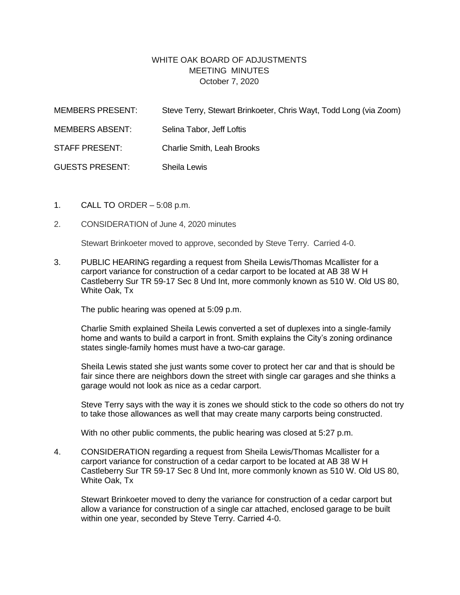## WHITE OAK BOARD OF ADJUSTMENTS MEETING MINUTES October 7, 2020

| <b>MEMBERS PRESENT:</b> | Steve Terry, Stewart Brinkoeter, Chris Wayt, Todd Long (via Zoom) |
|-------------------------|-------------------------------------------------------------------|
| <b>MEMBERS ABSENT:</b>  | Selina Tabor, Jeff Loftis                                         |
| <b>STAFF PRESENT:</b>   | <b>Charlie Smith, Leah Brooks</b>                                 |
| <b>GUESTS PRESENT:</b>  | Sheila Lewis                                                      |

- 1. CALL TO ORDER 5:08 p.m.
- 2. CONSIDERATION of June 4, 2020 minutes

Stewart Brinkoeter moved to approve, seconded by Steve Terry. Carried 4-0.

3. PUBLIC HEARING regarding a request from Sheila Lewis/Thomas Mcallister for a carport variance for construction of a cedar carport to be located at AB 38 W H Castleberry Sur TR 59-17 Sec 8 Und Int, more commonly known as 510 W. Old US 80, White Oak, Tx

The public hearing was opened at 5:09 p.m.

Charlie Smith explained Sheila Lewis converted a set of duplexes into a single-family home and wants to build a carport in front. Smith explains the City's zoning ordinance states single-family homes must have a two-car garage.

Sheila Lewis stated she just wants some cover to protect her car and that is should be fair since there are neighbors down the street with single car garages and she thinks a garage would not look as nice as a cedar carport.

Steve Terry says with the way it is zones we should stick to the code so others do not try to take those allowances as well that may create many carports being constructed.

With no other public comments, the public hearing was closed at 5:27 p.m.

4. CONSIDERATION regarding a request from Sheila Lewis/Thomas Mcallister for a carport variance for construction of a cedar carport to be located at AB 38 W H Castleberry Sur TR 59-17 Sec 8 Und Int, more commonly known as 510 W. Old US 80, White Oak, Tx

Stewart Brinkoeter moved to deny the variance for construction of a cedar carport but allow a variance for construction of a single car attached, enclosed garage to be built within one year, seconded by Steve Terry. Carried 4-0.